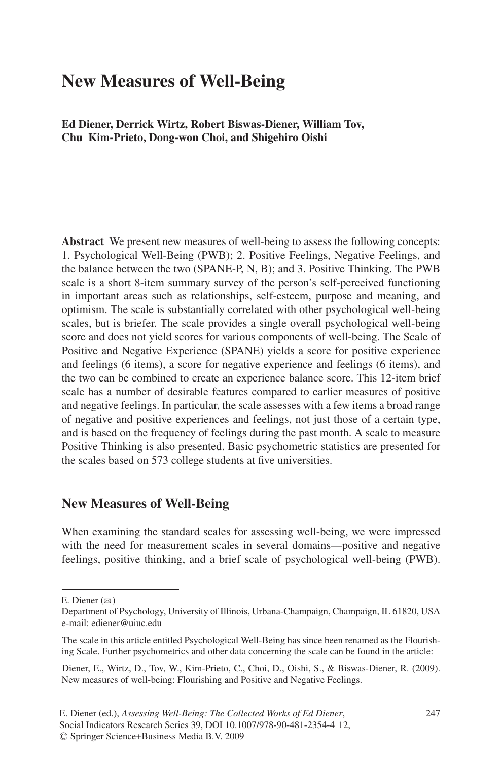# **New Measures of Well-Being**

**Ed Diener, Derrick Wirtz, Robert Biswas-Diener, William Tov, Chu Kim-Prieto, Dong-won Choi, and Shigehiro Oishi**

**Abstract** We present new measures of well-being to assess the following concepts: 1. Psychological Well-Being (PWB); 2. Positive Feelings, Negative Feelings, and the balance between the two (SPANE-P, N, B); and 3. Positive Thinking. The PWB scale is a short 8-item summary survey of the person's self-perceived functioning in important areas such as relationships, self-esteem, purpose and meaning, and optimism. The scale is substantially correlated with other psychological well-being scales, but is briefer. The scale provides a single overall psychological well-being score and does not yield scores for various components of well-being. The Scale of Positive and Negative Experience (SPANE) yields a score for positive experience and feelings (6 items), a score for negative experience and feelings (6 items), and the two can be combined to create an experience balance score. This 12-item brief scale has a number of desirable features compared to earlier measures of positive and negative feelings. In particular, the scale assesses with a few items a broad range of negative and positive experiences and feelings, not just those of a certain type, and is based on the frequency of feelings during the past month. A scale to measure Positive Thinking is also presented. Basic psychometric statistics are presented for the scales based on 573 college students at five universities.

# **New Measures of Well-Being**

When examining the standard scales for assessing well-being, we were impressed with the need for measurement scales in several domains—positive and negative feelings, positive thinking, and a brief scale of psychological well-being (PWB).

E. Diener  $(\boxtimes)$ 

Department of Psychology, University of Illinois, Urbana-Champaign, Champaign, IL 61820, USA e-mail: ediener@uiuc.edu

The scale in this article entitled Psychological Well-Being has since been renamed as the Flourishing Scale. Further psychometrics and other data concerning the scale can be found in the article:

Diener, E., Wirtz, D., Tov, W., Kim-Prieto, C., Choi, D., Oishi, S., & Biswas-Diener, R. (2009). New measures of well-being: Flourishing and Positive and Negative Feelings.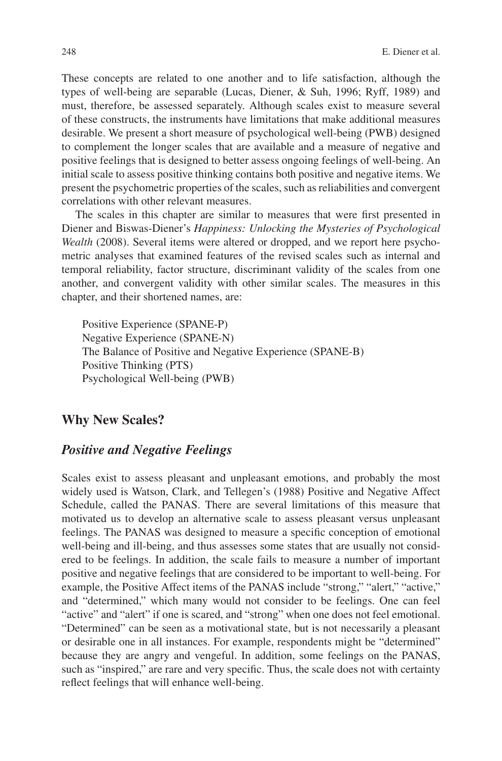These concepts are related to one another and to life satisfaction, although the types of well-being are separable (Lucas, Diener, & Suh, 1996; Ryff, 1989) and must, therefore, be assessed separately. Although scales exist to measure several of these constructs, the instruments have limitations that make additional measures desirable. We present a short measure of psychological well-being (PWB) designed to complement the longer scales that are available and a measure of negative and positive feelings that is designed to better assess ongoing feelings of well-being. An initial scale to assess positive thinking contains both positive and negative items. We present the psychometric properties of the scales, such as reliabilities and convergent correlations with other relevant measures.

The scales in this chapter are similar to measures that were first presented in Diener and Biswas-Diener's *Happiness: Unlocking the Mysteries of Psychological Wealth* (2008). Several items were altered or dropped, and we report here psychometric analyses that examined features of the revised scales such as internal and temporal reliability, factor structure, discriminant validity of the scales from one another, and convergent validity with other similar scales. The measures in this chapter, and their shortened names, are:

Positive Experience (SPANE-P) Negative Experience (SPANE-N) The Balance of Positive and Negative Experience (SPANE-B) Positive Thinking (PTS) Psychological Well-being (PWB)

#### **Why New Scales?**

### *Positive and Negative Feelings*

Scales exist to assess pleasant and unpleasant emotions, and probably the most widely used is Watson, Clark, and Tellegen's (1988) Positive and Negative Affect Schedule, called the PANAS. There are several limitations of this measure that motivated us to develop an alternative scale to assess pleasant versus unpleasant feelings. The PANAS was designed to measure a specific conception of emotional well-being and ill-being, and thus assesses some states that are usually not considered to be feelings. In addition, the scale fails to measure a number of important positive and negative feelings that are considered to be important to well-being. For example, the Positive Affect items of the PANAS include "strong," "alert," "active," and "determined," which many would not consider to be feelings. One can feel "active" and "alert" if one is scared, and "strong" when one does not feel emotional. "Determined" can be seen as a motivational state, but is not necessarily a pleasant or desirable one in all instances. For example, respondents might be "determined" because they are angry and vengeful. In addition, some feelings on the PANAS, such as "inspired," are rare and very specific. Thus, the scale does not with certainty reflect feelings that will enhance well-being.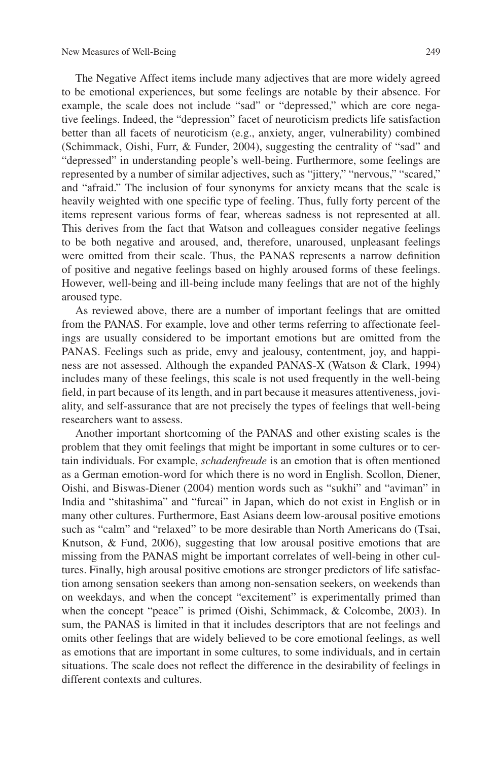The Negative Affect items include many adjectives that are more widely agreed to be emotional experiences, but some feelings are notable by their absence. For example, the scale does not include "sad" or "depressed," which are core negative feelings. Indeed, the "depression" facet of neuroticism predicts life satisfaction better than all facets of neuroticism (e.g., anxiety, anger, vulnerability) combined (Schimmack, Oishi, Furr, & Funder, 2004), suggesting the centrality of "sad" and "depressed" in understanding people's well-being. Furthermore, some feelings are represented by a number of similar adjectives, such as "jittery," "nervous," "scared," and "afraid." The inclusion of four synonyms for anxiety means that the scale is heavily weighted with one specific type of feeling. Thus, fully forty percent of the items represent various forms of fear, whereas sadness is not represented at all. This derives from the fact that Watson and colleagues consider negative feelings to be both negative and aroused, and, therefore, unaroused, unpleasant feelings were omitted from their scale. Thus, the PANAS represents a narrow definition of positive and negative feelings based on highly aroused forms of these feelings. However, well-being and ill-being include many feelings that are not of the highly aroused type.

As reviewed above, there are a number of important feelings that are omitted from the PANAS. For example, love and other terms referring to affectionate feelings are usually considered to be important emotions but are omitted from the PANAS. Feelings such as pride, envy and jealousy, contentment, joy, and happiness are not assessed. Although the expanded PANAS-X (Watson & Clark, 1994) includes many of these feelings, this scale is not used frequently in the well-being field, in part because of its length, and in part because it measures attentiveness, joviality, and self-assurance that are not precisely the types of feelings that well-being researchers want to assess.

Another important shortcoming of the PANAS and other existing scales is the problem that they omit feelings that might be important in some cultures or to certain individuals. For example, *schadenfreude* is an emotion that is often mentioned as a German emotion-word for which there is no word in English. Scollon, Diener, Oishi, and Biswas-Diener (2004) mention words such as "sukhi" and "aviman" in India and "shitashima" and "fureai" in Japan, which do not exist in English or in many other cultures. Furthermore, East Asians deem low-arousal positive emotions such as "calm" and "relaxed" to be more desirable than North Americans do (Tsai, Knutson, & Fund, 2006), suggesting that low arousal positive emotions that are missing from the PANAS might be important correlates of well-being in other cultures. Finally, high arousal positive emotions are stronger predictors of life satisfaction among sensation seekers than among non-sensation seekers, on weekends than on weekdays, and when the concept "excitement" is experimentally primed than when the concept "peace" is primed (Oishi, Schimmack, & Colcombe, 2003). In sum, the PANAS is limited in that it includes descriptors that are not feelings and omits other feelings that are widely believed to be core emotional feelings, as well as emotions that are important in some cultures, to some individuals, and in certain situations. The scale does not reflect the difference in the desirability of feelings in different contexts and cultures.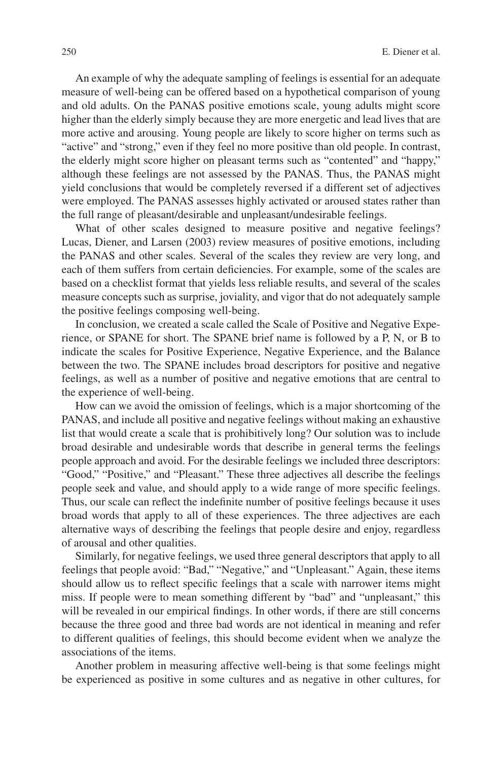An example of why the adequate sampling of feelings is essential for an adequate measure of well-being can be offered based on a hypothetical comparison of young and old adults. On the PANAS positive emotions scale, young adults might score higher than the elderly simply because they are more energetic and lead lives that are more active and arousing. Young people are likely to score higher on terms such as "active" and "strong," even if they feel no more positive than old people. In contrast, the elderly might score higher on pleasant terms such as "contented" and "happy," although these feelings are not assessed by the PANAS. Thus, the PANAS might yield conclusions that would be completely reversed if a different set of adjectives were employed. The PANAS assesses highly activated or aroused states rather than the full range of pleasant/desirable and unpleasant/undesirable feelings.

What of other scales designed to measure positive and negative feelings? Lucas, Diener, and Larsen (2003) review measures of positive emotions, including the PANAS and other scales. Several of the scales they review are very long, and each of them suffers from certain deficiencies. For example, some of the scales are based on a checklist format that yields less reliable results, and several of the scales measure concepts such as surprise, joviality, and vigor that do not adequately sample the positive feelings composing well-being.

In conclusion, we created a scale called the Scale of Positive and Negative Experience, or SPANE for short. The SPANE brief name is followed by a P, N, or B to indicate the scales for Positive Experience, Negative Experience, and the Balance between the two. The SPANE includes broad descriptors for positive and negative feelings, as well as a number of positive and negative emotions that are central to the experience of well-being.

How can we avoid the omission of feelings, which is a major shortcoming of the PANAS, and include all positive and negative feelings without making an exhaustive list that would create a scale that is prohibitively long? Our solution was to include broad desirable and undesirable words that describe in general terms the feelings people approach and avoid. For the desirable feelings we included three descriptors: "Good," "Positive," and "Pleasant." These three adjectives all describe the feelings people seek and value, and should apply to a wide range of more specific feelings. Thus, our scale can reflect the indefinite number of positive feelings because it uses broad words that apply to all of these experiences. The three adjectives are each alternative ways of describing the feelings that people desire and enjoy, regardless of arousal and other qualities.

Similarly, for negative feelings, we used three general descriptors that apply to all feelings that people avoid: "Bad," "Negative," and "Unpleasant." Again, these items should allow us to reflect specific feelings that a scale with narrower items might miss. If people were to mean something different by "bad" and "unpleasant," this will be revealed in our empirical findings. In other words, if there are still concerns because the three good and three bad words are not identical in meaning and refer to different qualities of feelings, this should become evident when we analyze the associations of the items.

Another problem in measuring affective well-being is that some feelings might be experienced as positive in some cultures and as negative in other cultures, for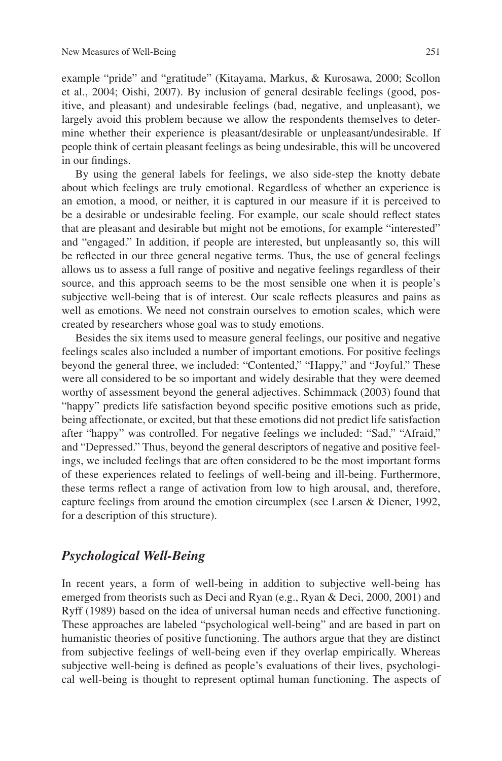example "pride" and "gratitude" (Kitayama, Markus, & Kurosawa, 2000; Scollon et al., 2004; Oishi, 2007). By inclusion of general desirable feelings (good, positive, and pleasant) and undesirable feelings (bad, negative, and unpleasant), we largely avoid this problem because we allow the respondents themselves to determine whether their experience is pleasant/desirable or unpleasant/undesirable. If people think of certain pleasant feelings as being undesirable, this will be uncovered in our findings.

By using the general labels for feelings, we also side-step the knotty debate about which feelings are truly emotional. Regardless of whether an experience is an emotion, a mood, or neither, it is captured in our measure if it is perceived to be a desirable or undesirable feeling. For example, our scale should reflect states that are pleasant and desirable but might not be emotions, for example "interested" and "engaged." In addition, if people are interested, but unpleasantly so, this will be reflected in our three general negative terms. Thus, the use of general feelings allows us to assess a full range of positive and negative feelings regardless of their source, and this approach seems to be the most sensible one when it is people's subjective well-being that is of interest. Our scale reflects pleasures and pains as well as emotions. We need not constrain ourselves to emotion scales, which were created by researchers whose goal was to study emotions.

Besides the six items used to measure general feelings, our positive and negative feelings scales also included a number of important emotions. For positive feelings beyond the general three, we included: "Contented," "Happy," and "Joyful." These were all considered to be so important and widely desirable that they were deemed worthy of assessment beyond the general adjectives. Schimmack (2003) found that "happy" predicts life satisfaction beyond specific positive emotions such as pride, being affectionate, or excited, but that these emotions did not predict life satisfaction after "happy" was controlled. For negative feelings we included: "Sad," "Afraid," and "Depressed." Thus, beyond the general descriptors of negative and positive feelings, we included feelings that are often considered to be the most important forms of these experiences related to feelings of well-being and ill-being. Furthermore, these terms reflect a range of activation from low to high arousal, and, therefore, capture feelings from around the emotion circumplex (see Larsen & Diener, 1992, for a description of this structure).

# *Psychological Well-Being*

In recent years, a form of well-being in addition to subjective well-being has emerged from theorists such as Deci and Ryan (e.g., Ryan & Deci, 2000, 2001) and Ryff (1989) based on the idea of universal human needs and effective functioning. These approaches are labeled "psychological well-being" and are based in part on humanistic theories of positive functioning. The authors argue that they are distinct from subjective feelings of well-being even if they overlap empirically. Whereas subjective well-being is defined as people's evaluations of their lives, psychological well-being is thought to represent optimal human functioning. The aspects of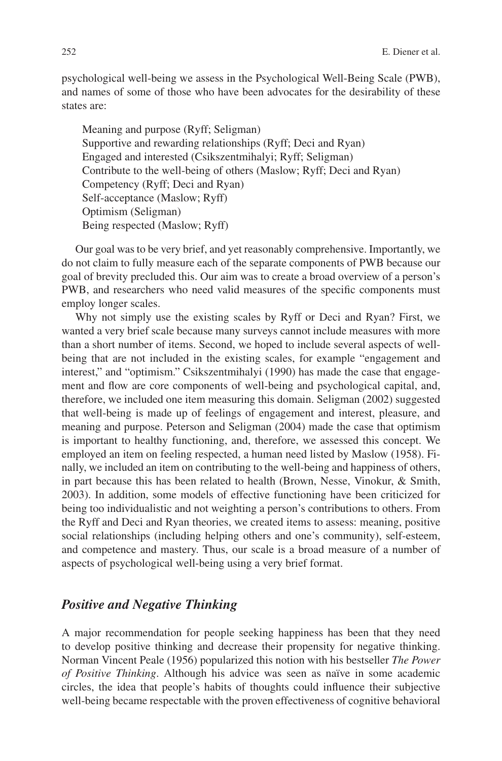psychological well-being we assess in the Psychological Well-Being Scale (PWB), and names of some of those who have been advocates for the desirability of these states are:

Meaning and purpose (Ryff; Seligman) Supportive and rewarding relationships (Ryff; Deci and Ryan) Engaged and interested (Csikszentmihalyi; Ryff; Seligman) Contribute to the well-being of others (Maslow; Ryff; Deci and Ryan) Competency (Ryff; Deci and Ryan) Self-acceptance (Maslow; Ryff) Optimism (Seligman) Being respected (Maslow; Ryff)

Our goal was to be very brief, and yet reasonably comprehensive. Importantly, we do not claim to fully measure each of the separate components of PWB because our goal of brevity precluded this. Our aim was to create a broad overview of a person's PWB, and researchers who need valid measures of the specific components must employ longer scales.

Why not simply use the existing scales by Ryff or Deci and Ryan? First, we wanted a very brief scale because many surveys cannot include measures with more than a short number of items. Second, we hoped to include several aspects of wellbeing that are not included in the existing scales, for example "engagement and interest," and "optimism." Csikszentmihalyi (1990) has made the case that engagement and flow are core components of well-being and psychological capital, and, therefore, we included one item measuring this domain. Seligman (2002) suggested that well-being is made up of feelings of engagement and interest, pleasure, and meaning and purpose. Peterson and Seligman (2004) made the case that optimism is important to healthy functioning, and, therefore, we assessed this concept. We employed an item on feeling respected, a human need listed by Maslow (1958). Finally, we included an item on contributing to the well-being and happiness of others, in part because this has been related to health (Brown, Nesse, Vinokur, & Smith, 2003). In addition, some models of effective functioning have been criticized for being too individualistic and not weighting a person's contributions to others. From the Ryff and Deci and Ryan theories, we created items to assess: meaning, positive social relationships (including helping others and one's community), self-esteem, and competence and mastery. Thus, our scale is a broad measure of a number of aspects of psychological well-being using a very brief format.

# *Positive and Negative Thinking*

A major recommendation for people seeking happiness has been that they need to develop positive thinking and decrease their propensity for negative thinking. Norman Vincent Peale (1956) popularized this notion with his bestseller *The Power of Positive Thinking*. Although his advice was seen as naïve in some academic circles, the idea that people's habits of thoughts could influence their subjective well-being became respectable with the proven effectiveness of cognitive behavioral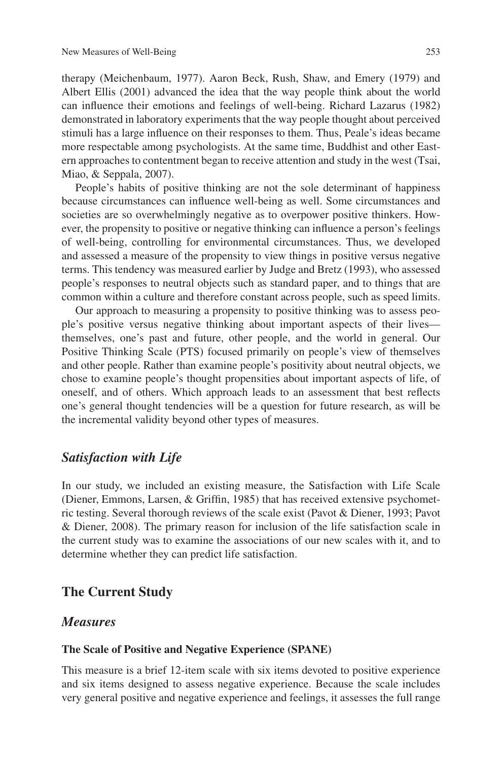therapy (Meichenbaum, 1977). Aaron Beck, Rush, Shaw, and Emery (1979) and Albert Ellis (2001) advanced the idea that the way people think about the world can influence their emotions and feelings of well-being. Richard Lazarus (1982) demonstrated in laboratory experiments that the way people thought about perceived stimuli has a large influence on their responses to them. Thus, Peale's ideas became more respectable among psychologists. At the same time, Buddhist and other Eastern approaches to contentment began to receive attention and study in the west (Tsai, Miao, & Seppala, 2007).

People's habits of positive thinking are not the sole determinant of happiness because circumstances can influence well-being as well. Some circumstances and societies are so overwhelmingly negative as to overpower positive thinkers. However, the propensity to positive or negative thinking can influence a person's feelings of well-being, controlling for environmental circumstances. Thus, we developed and assessed a measure of the propensity to view things in positive versus negative terms. This tendency was measured earlier by Judge and Bretz (1993), who assessed people's responses to neutral objects such as standard paper, and to things that are common within a culture and therefore constant across people, such as speed limits.

Our approach to measuring a propensity to positive thinking was to assess people's positive versus negative thinking about important aspects of their lives themselves, one's past and future, other people, and the world in general. Our Positive Thinking Scale (PTS) focused primarily on people's view of themselves and other people. Rather than examine people's positivity about neutral objects, we chose to examine people's thought propensities about important aspects of life, of oneself, and of others. Which approach leads to an assessment that best reflects one's general thought tendencies will be a question for future research, as will be the incremental validity beyond other types of measures.

## *Satisfaction with Life*

In our study, we included an existing measure, the Satisfaction with Life Scale (Diener, Emmons, Larsen, & Griffin, 1985) that has received extensive psychometric testing. Several thorough reviews of the scale exist (Pavot & Diener, 1993; Pavot & Diener, 2008). The primary reason for inclusion of the life satisfaction scale in the current study was to examine the associations of our new scales with it, and to determine whether they can predict life satisfaction.

# **The Current Study**

## *Measures*

#### **The Scale of Positive and Negative Experience (SPANE)**

This measure is a brief 12-item scale with six items devoted to positive experience and six items designed to assess negative experience. Because the scale includes very general positive and negative experience and feelings, it assesses the full range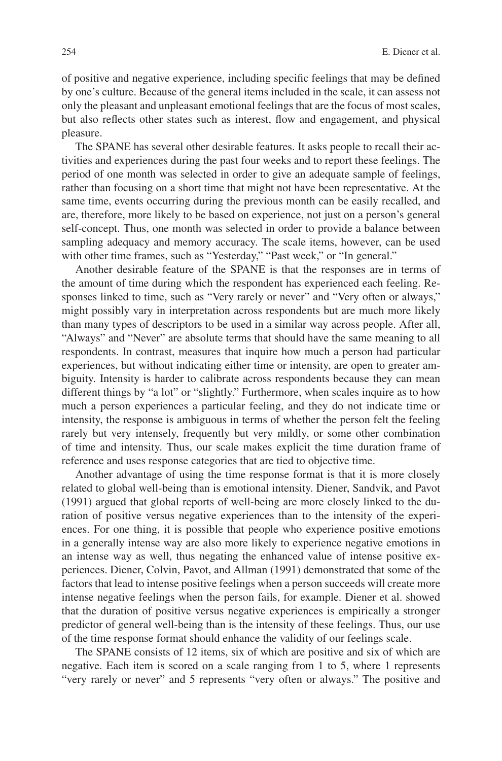of positive and negative experience, including specific feelings that may be defined by one's culture. Because of the general items included in the scale, it can assess not only the pleasant and unpleasant emotional feelings that are the focus of most scales, but also reflects other states such as interest, flow and engagement, and physical pleasure.

The SPANE has several other desirable features. It asks people to recall their activities and experiences during the past four weeks and to report these feelings. The period of one month was selected in order to give an adequate sample of feelings, rather than focusing on a short time that might not have been representative. At the same time, events occurring during the previous month can be easily recalled, and are, therefore, more likely to be based on experience, not just on a person's general self-concept. Thus, one month was selected in order to provide a balance between sampling adequacy and memory accuracy. The scale items, however, can be used with other time frames, such as "Yesterday," "Past week," or "In general."

Another desirable feature of the SPANE is that the responses are in terms of the amount of time during which the respondent has experienced each feeling. Responses linked to time, such as "Very rarely or never" and "Very often or always," might possibly vary in interpretation across respondents but are much more likely than many types of descriptors to be used in a similar way across people. After all, "Always" and "Never" are absolute terms that should have the same meaning to all respondents. In contrast, measures that inquire how much a person had particular experiences, but without indicating either time or intensity, are open to greater ambiguity. Intensity is harder to calibrate across respondents because they can mean different things by "a lot" or "slightly." Furthermore, when scales inquire as to how much a person experiences a particular feeling, and they do not indicate time or intensity, the response is ambiguous in terms of whether the person felt the feeling rarely but very intensely, frequently but very mildly, or some other combination of time and intensity. Thus, our scale makes explicit the time duration frame of reference and uses response categories that are tied to objective time.

Another advantage of using the time response format is that it is more closely related to global well-being than is emotional intensity. Diener, Sandvik, and Pavot (1991) argued that global reports of well-being are more closely linked to the duration of positive versus negative experiences than to the intensity of the experiences. For one thing, it is possible that people who experience positive emotions in a generally intense way are also more likely to experience negative emotions in an intense way as well, thus negating the enhanced value of intense positive experiences. Diener, Colvin, Pavot, and Allman (1991) demonstrated that some of the factors that lead to intense positive feelings when a person succeeds will create more intense negative feelings when the person fails, for example. Diener et al. showed that the duration of positive versus negative experiences is empirically a stronger predictor of general well-being than is the intensity of these feelings. Thus, our use of the time response format should enhance the validity of our feelings scale.

The SPANE consists of 12 items, six of which are positive and six of which are negative. Each item is scored on a scale ranging from 1 to 5, where 1 represents "very rarely or never" and 5 represents "very often or always." The positive and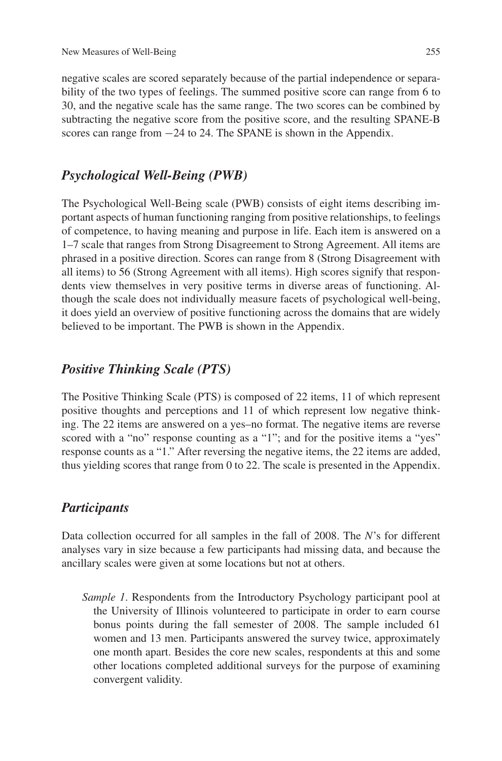negative scales are scored separately because of the partial independence or separability of the two types of feelings. The summed positive score can range from 6 to 30, and the negative scale has the same range. The two scores can be combined by subtracting the negative score from the positive score, and the resulting SPANE-B scores can range from  $-24$  to 24. The SPANE is shown in the Appendix.

# *Psychological Well-Being (PWB)*

The Psychological Well-Being scale (PWB) consists of eight items describing important aspects of human functioning ranging from positive relationships, to feelings of competence, to having meaning and purpose in life. Each item is answered on a 1–7 scale that ranges from Strong Disagreement to Strong Agreement. All items are phrased in a positive direction. Scores can range from 8 (Strong Disagreement with all items) to 56 (Strong Agreement with all items). High scores signify that respondents view themselves in very positive terms in diverse areas of functioning. Although the scale does not individually measure facets of psychological well-being, it does yield an overview of positive functioning across the domains that are widely believed to be important. The PWB is shown in the Appendix.

# *Positive Thinking Scale (PTS)*

The Positive Thinking Scale (PTS) is composed of 22 items, 11 of which represent positive thoughts and perceptions and 11 of which represent low negative thinking. The 22 items are answered on a yes–no format. The negative items are reverse scored with a "no" response counting as a "1"; and for the positive items a "yes" response counts as a "1." After reversing the negative items, the 22 items are added, thus yielding scores that range from 0 to 22. The scale is presented in the Appendix.

# *Participants*

Data collection occurred for all samples in the fall of 2008. The *N*'s for different analyses vary in size because a few participants had missing data, and because the ancillary scales were given at some locations but not at others.

*Sample 1*. Respondents from the Introductory Psychology participant pool at the University of Illinois volunteered to participate in order to earn course bonus points during the fall semester of 2008. The sample included 61 women and 13 men. Participants answered the survey twice, approximately one month apart. Besides the core new scales, respondents at this and some other locations completed additional surveys for the purpose of examining convergent validity.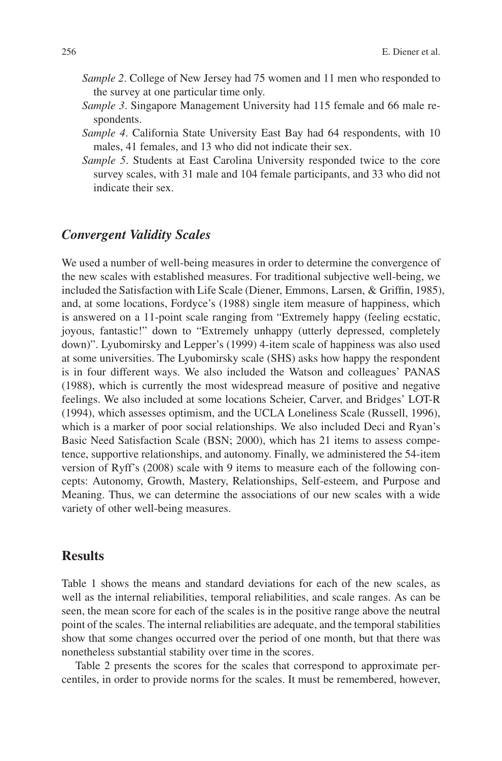- *Sample 2*. College of New Jersey had 75 women and 11 men who responded to the survey at one particular time only.
- *Sample 3*. Singapore Management University had 115 female and 66 male respondents.
- *Sample 4*. California State University East Bay had 64 respondents, with 10 males, 41 females, and 13 who did not indicate their sex.
- *Sample 5*. Students at East Carolina University responded twice to the core survey scales, with 31 male and 104 female participants, and 33 who did not indicate their sex.

# *Convergent Validity Scales*

We used a number of well-being measures in order to determine the convergence of the new scales with established measures. For traditional subjective well-being, we included the Satisfaction with Life Scale (Diener, Emmons, Larsen, & Griffin, 1985), and, at some locations, Fordyce's (1988) single item measure of happiness, which is answered on a 11-point scale ranging from "Extremely happy (feeling ecstatic, joyous, fantastic!" down to "Extremely unhappy (utterly depressed, completely down)". Lyubomirsky and Lepper's (1999) 4-item scale of happiness was also used at some universities. The Lyubomirsky scale (SHS) asks how happy the respondent is in four different ways. We also included the Watson and colleagues' PANAS (1988), which is currently the most widespread measure of positive and negative feelings. We also included at some locations Scheier, Carver, and Bridges' LOT-R (1994), which assesses optimism, and the UCLA Loneliness Scale (Russell, 1996), which is a marker of poor social relationships. We also included Deci and Ryan's Basic Need Satisfaction Scale (BSN; 2000), which has 21 items to assess competence, supportive relationships, and autonomy. Finally, we administered the 54-item version of Ryff's (2008) scale with 9 items to measure each of the following concepts: Autonomy, Growth, Mastery, Relationships, Self-esteem, and Purpose and Meaning. Thus, we can determine the associations of our new scales with a wide variety of other well-being measures.

# **Results**

Table 1 shows the means and standard deviations for each of the new scales, as well as the internal reliabilities, temporal reliabilities, and scale ranges. As can be seen, the mean score for each of the scales is in the positive range above the neutral point of the scales. The internal reliabilities are adequate, and the temporal stabilities show that some changes occurred over the period of one month, but that there was nonetheless substantial stability over time in the scores.

Table 2 presents the scores for the scales that correspond to approximate percentiles, in order to provide norms for the scales. It must be remembered, however,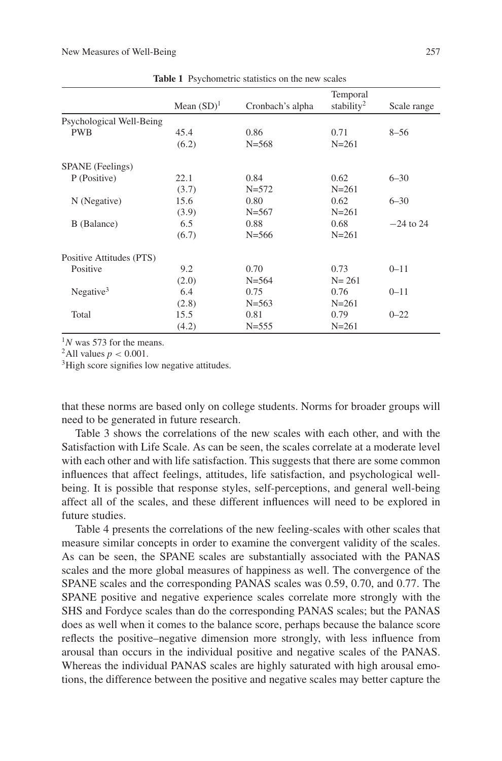|                          | Mean $(SD)^1$ | Cronbach's alpha | Temporal<br>stability <sup>2</sup> | Scale range |
|--------------------------|---------------|------------------|------------------------------------|-------------|
| Psychological Well-Being |               |                  |                                    |             |
| <b>PWB</b>               | 45.4          | 0.86             | 0.71                               | $8 - 56$    |
|                          | (6.2)         | $N = 568$        | $N = 261$                          |             |
| SPANE (Feelings)         |               |                  |                                    |             |
| P (Positive)             | 22.1          | 0.84             | 0.62                               | $6 - 30$    |
|                          | (3.7)         | $N = 572$        | $N = 261$                          |             |
| N (Negative)             | 15.6          | 0.80             | 0.62                               | $6 - 30$    |
|                          | (3.9)         | $N = 567$        | $N = 261$                          |             |
| B (Balance)              | 6.5           | 0.88             | 0.68                               | $-24$ to 24 |
|                          | (6.7)         | $N = 566$        | $N = 261$                          |             |
| Positive Attitudes (PTS) |               |                  |                                    |             |
| Positive                 | 9.2           | 0.70             | 0.73                               | $0 - 11$    |
|                          | (2.0)         | $N = 564$        | $N = 261$                          |             |
| Negative <sup>3</sup>    | 6.4           | 0.75             | 0.76                               | $0 - 11$    |
|                          | (2.8)         | $N = 563$        | $N = 261$                          |             |
| Total                    | 15.5          | 0.81             | 0.79                               | $0 - 22$    |
|                          | (4.2)         | $N = 555$        | $N = 261$                          |             |

**Table 1** Psychometric statistics on the new scales

 $1/N$  was 573 for the means.

<sup>2</sup>All values  $p < 0.001$ .

<sup>3</sup>High score signifies low negative attitudes.

that these norms are based only on college students. Norms for broader groups will need to be generated in future research.

Table 3 shows the correlations of the new scales with each other, and with the Satisfaction with Life Scale. As can be seen, the scales correlate at a moderate level with each other and with life satisfaction. This suggests that there are some common influences that affect feelings, attitudes, life satisfaction, and psychological wellbeing. It is possible that response styles, self-perceptions, and general well-being affect all of the scales, and these different influences will need to be explored in future studies.

Table 4 presents the correlations of the new feeling-scales with other scales that measure similar concepts in order to examine the convergent validity of the scales. As can be seen, the SPANE scales are substantially associated with the PANAS scales and the more global measures of happiness as well. The convergence of the SPANE scales and the corresponding PANAS scales was 0.59, 0.70, and 0.77. The SPANE positive and negative experience scales correlate more strongly with the SHS and Fordyce scales than do the corresponding PANAS scales; but the PANAS does as well when it comes to the balance score, perhaps because the balance score reflects the positive–negative dimension more strongly, with less influence from arousal than occurs in the individual positive and negative scales of the PANAS. Whereas the individual PANAS scales are highly saturated with high arousal emotions, the difference between the positive and negative scales may better capture the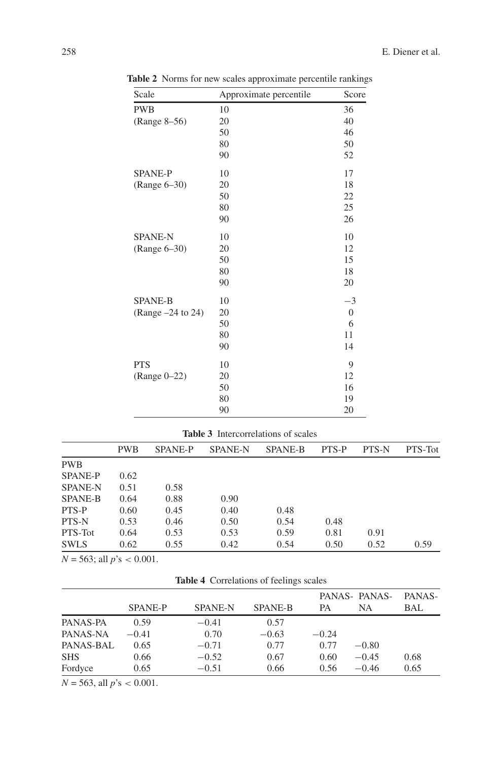| Scale             | Approximate percentile | Score            |
|-------------------|------------------------|------------------|
| <b>PWB</b>        | 10                     | 36               |
| (Range 8–56)      | 20                     | 40               |
|                   | 50                     | 46               |
|                   | 80                     | 50               |
|                   | 90                     | 52               |
| <b>SPANE-P</b>    | 10                     | 17               |
| (Range 6-30)      | 20                     | 18               |
|                   | 50                     | 22               |
|                   | 80                     | 25               |
|                   | 90                     | 26               |
| <b>SPANE-N</b>    | 10                     | 10               |
| (Range 6-30)      | 20                     | 12               |
|                   | 50                     | 15               |
|                   | 80                     | 18               |
|                   | 90                     | 20               |
| <b>SPANE-B</b>    | 10                     | $-3$             |
| (Range -24 to 24) | 20                     | $\boldsymbol{0}$ |
|                   | 50                     | 6                |
|                   | 80                     | 11               |
|                   | 90                     | 14               |
| <b>PTS</b>        | 10                     | 9                |
| (Range $0-22$ )   | 20                     | 12               |
|                   | 50                     | 16               |
|                   | 80                     | 19               |
|                   | 90                     | 20               |

**Table 2** Norms for new scales approximate percentile rankings

| <b>Table 3</b> Intercorrelations of scales |            |                |                |                |       |       |         |
|--------------------------------------------|------------|----------------|----------------|----------------|-------|-------|---------|
|                                            | <b>PWB</b> | <b>SPANE-P</b> | <b>SPANE-N</b> | <b>SPANE-B</b> | PTS-P | PTS-N | PTS-Tot |
| <b>PWB</b>                                 |            |                |                |                |       |       |         |
| <b>SPANE-P</b>                             | 0.62       |                |                |                |       |       |         |
| <b>SPANE-N</b>                             | 0.51       | 0.58           |                |                |       |       |         |
| <b>SPANE-B</b>                             | 0.64       | 0.88           | 0.90           |                |       |       |         |
| PTS-P                                      | 0.60       | 0.45           | 0.40           | 0.48           |       |       |         |
| PTS-N                                      | 0.53       | 0.46           | 0.50           | 0.54           | 0.48  |       |         |
| PTS-Tot                                    | 0.64       | 0.53           | 0.53           | 0.59           | 0.81  | 0.91  |         |
| <b>SWLS</b>                                | 0.62       | 0.55           | 0.42           | 0.54           | 0.50  | 0.52  | 0.59    |

 $N = 563$ ; all  $p$ 's < 0.001.

|            | <b>SPANE-P</b> | <b>SPANE-N</b> | <b>SPANE-B</b> | PА      | PANAS-PANAS-<br>NA | PANAS-<br>BAL. |
|------------|----------------|----------------|----------------|---------|--------------------|----------------|
| PANAS-PA   | 0.59           | $-0.41$        | 0.57           |         |                    |                |
| PANAS-NA   | $-0.41$        | 0.70           | $-0.63$        | $-0.24$ |                    |                |
| PANAS-BAL  | 0.65           | $-0.71$        | 0.77           | 0.77    | $-0.80$            |                |
| <b>SHS</b> | 0.66           | $-0.52$        | 0.67           | 0.60    | $-0.45$            | 0.68           |
| Fordyce    | 0.65           | $-0.51$        | 0.66           | 0.56    | $-0.46$            | 0.65           |

 $N = 563$ , all  $p's < 0.001$ .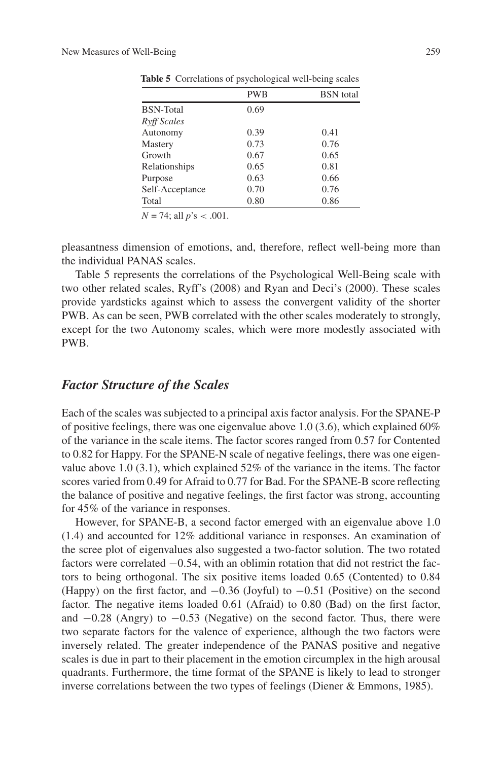|                  | <b>PWB</b> | <b>BSN</b> total |
|------------------|------------|------------------|
| <b>BSN-Total</b> | 0.69       |                  |
| Ryff Scales      |            |                  |
| Autonomy         | 0.39       | 0.41             |
| Mastery          | 0.73       | 0.76             |
| Growth           | 0.67       | 0.65             |
| Relationships    | 0.65       | 0.81             |
| Purpose          | 0.63       | 0.66             |
| Self-Acceptance  | 0.70       | 0.76             |
| Total            | 0.80       | 0.86             |
|                  |            |                  |

**Table 5** Correlations of psychological well-being scales

 $N = 74$ ; all  $p$ 's < .001.

pleasantness dimension of emotions, and, therefore, reflect well-being more than the individual PANAS scales.

Table 5 represents the correlations of the Psychological Well-Being scale with two other related scales, Ryff's (2008) and Ryan and Deci's (2000). These scales provide yardsticks against which to assess the convergent validity of the shorter PWB. As can be seen, PWB correlated with the other scales moderately to strongly, except for the two Autonomy scales, which were more modestly associated with PWB.

#### *Factor Structure of the Scales*

Each of the scales was subjected to a principal axis factor analysis. For the SPANE-P of positive feelings, there was one eigenvalue above 1.0 (3.6), which explained 60% of the variance in the scale items. The factor scores ranged from 0.57 for Contented to 0.82 for Happy. For the SPANE-N scale of negative feelings, there was one eigenvalue above 1.0 (3.1), which explained 52% of the variance in the items. The factor scores varied from 0.49 for Afraid to 0.77 for Bad. For the SPANE-B score reflecting the balance of positive and negative feelings, the first factor was strong, accounting for 45% of the variance in responses.

However, for SPANE-B, a second factor emerged with an eigenvalue above 1.0 (1.4) and accounted for 12% additional variance in responses. An examination of the scree plot of eigenvalues also suggested a two-factor solution. The two rotated factors were correlated  $-0.54$ , with an oblimin rotation that did not restrict the factors to being orthogonal. The six positive items loaded 0.65 (Contented) to 0.84 (Happy) on the first factor, and  $-0.36$  (Joyful) to  $-0.51$  (Positive) on the second factor. The negative items loaded 0.61 (Afraid) to 0.80 (Bad) on the first factor, and −0.28 (Angry) to −0.53 (Negative) on the second factor. Thus, there were two separate factors for the valence of experience, although the two factors were inversely related. The greater independence of the PANAS positive and negative scales is due in part to their placement in the emotion circumplex in the high arousal quadrants. Furthermore, the time format of the SPANE is likely to lead to stronger inverse correlations between the two types of feelings (Diener & Emmons, 1985).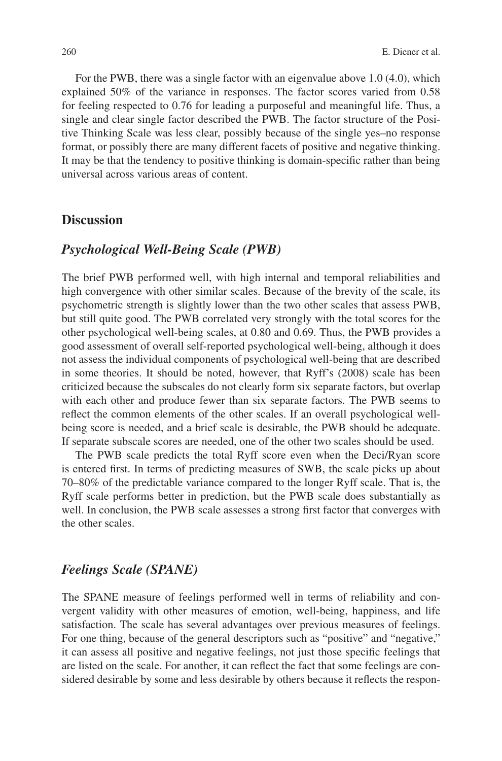For the PWB, there was a single factor with an eigenvalue above 1.0 (4.0), which explained 50% of the variance in responses. The factor scores varied from 0.58 for feeling respected to 0.76 for leading a purposeful and meaningful life. Thus, a single and clear single factor described the PWB. The factor structure of the Positive Thinking Scale was less clear, possibly because of the single yes–no response format, or possibly there are many different facets of positive and negative thinking. It may be that the tendency to positive thinking is domain-specific rather than being universal across various areas of content.

#### **Discussion**

# *Psychological Well-Being Scale (PWB)*

The brief PWB performed well, with high internal and temporal reliabilities and high convergence with other similar scales. Because of the brevity of the scale, its psychometric strength is slightly lower than the two other scales that assess PWB, but still quite good. The PWB correlated very strongly with the total scores for the other psychological well-being scales, at 0.80 and 0.69. Thus, the PWB provides a good assessment of overall self-reported psychological well-being, although it does not assess the individual components of psychological well-being that are described in some theories. It should be noted, however, that Ryff's (2008) scale has been criticized because the subscales do not clearly form six separate factors, but overlap with each other and produce fewer than six separate factors. The PWB seems to reflect the common elements of the other scales. If an overall psychological wellbeing score is needed, and a brief scale is desirable, the PWB should be adequate. If separate subscale scores are needed, one of the other two scales should be used.

The PWB scale predicts the total Ryff score even when the Deci/Ryan score is entered first. In terms of predicting measures of SWB, the scale picks up about 70–80% of the predictable variance compared to the longer Ryff scale. That is, the Ryff scale performs better in prediction, but the PWB scale does substantially as well. In conclusion, the PWB scale assesses a strong first factor that converges with the other scales.

#### *Feelings Scale (SPANE)*

The SPANE measure of feelings performed well in terms of reliability and convergent validity with other measures of emotion, well-being, happiness, and life satisfaction. The scale has several advantages over previous measures of feelings. For one thing, because of the general descriptors such as "positive" and "negative," it can assess all positive and negative feelings, not just those specific feelings that are listed on the scale. For another, it can reflect the fact that some feelings are considered desirable by some and less desirable by others because it reflects the respon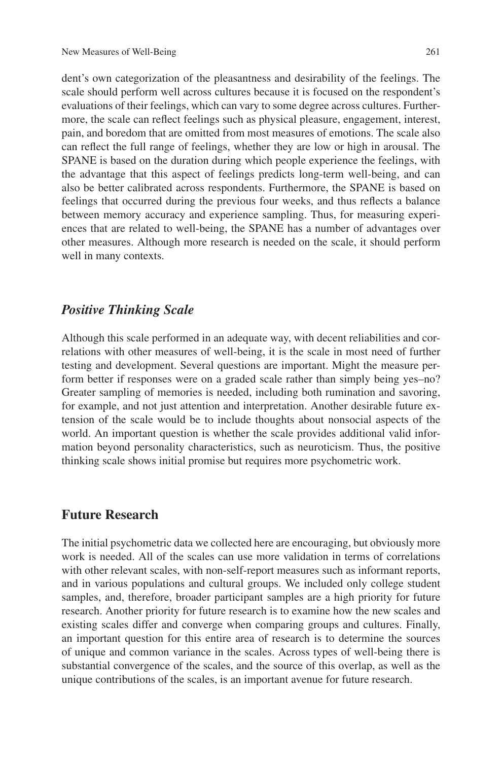dent's own categorization of the pleasantness and desirability of the feelings. The scale should perform well across cultures because it is focused on the respondent's evaluations of their feelings, which can vary to some degree across cultures. Furthermore, the scale can reflect feelings such as physical pleasure, engagement, interest, pain, and boredom that are omitted from most measures of emotions. The scale also can reflect the full range of feelings, whether they are low or high in arousal. The SPANE is based on the duration during which people experience the feelings, with the advantage that this aspect of feelings predicts long-term well-being, and can also be better calibrated across respondents. Furthermore, the SPANE is based on feelings that occurred during the previous four weeks, and thus reflects a balance between memory accuracy and experience sampling. Thus, for measuring experiences that are related to well-being, the SPANE has a number of advantages over other measures. Although more research is needed on the scale, it should perform well in many contexts.

#### *Positive Thinking Scale*

Although this scale performed in an adequate way, with decent reliabilities and correlations with other measures of well-being, it is the scale in most need of further testing and development. Several questions are important. Might the measure perform better if responses were on a graded scale rather than simply being yes–no? Greater sampling of memories is needed, including both rumination and savoring, for example, and not just attention and interpretation. Another desirable future extension of the scale would be to include thoughts about nonsocial aspects of the world. An important question is whether the scale provides additional valid information beyond personality characteristics, such as neuroticism. Thus, the positive thinking scale shows initial promise but requires more psychometric work.

### **Future Research**

The initial psychometric data we collected here are encouraging, but obviously more work is needed. All of the scales can use more validation in terms of correlations with other relevant scales, with non-self-report measures such as informant reports, and in various populations and cultural groups. We included only college student samples, and, therefore, broader participant samples are a high priority for future research. Another priority for future research is to examine how the new scales and existing scales differ and converge when comparing groups and cultures. Finally, an important question for this entire area of research is to determine the sources of unique and common variance in the scales. Across types of well-being there is substantial convergence of the scales, and the source of this overlap, as well as the unique contributions of the scales, is an important avenue for future research.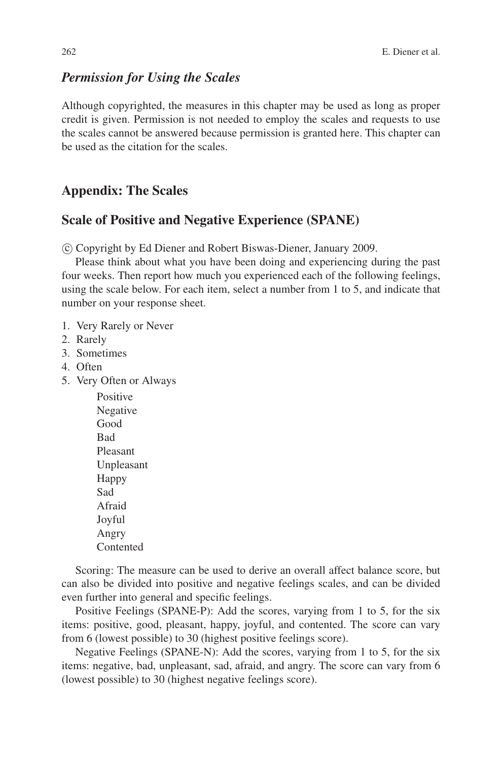# *Permission for Using the Scales*

Although copyrighted, the measures in this chapter may be used as long as proper credit is given. Permission is not needed to employ the scales and requests to use the scales cannot be answered because permission is granted here. This chapter can be used as the citation for the scales.

# **Appendix: The Scales**

# **Scale of Positive and Negative Experience (SPANE)**

© Copyright by Ed Diener and Robert Biswas-Diener, January 2009.

Please think about what you have been doing and experiencing during the past four weeks. Then report how much you experienced each of the following feelings, using the scale below. For each item, select a number from 1 to 5, and indicate that number on your response sheet.

- 1. Very Rarely or Never
- 2. Rarely
- 3. Sometimes
- 4. Often
- 5. Very Often or Always

Positive Negative Good Bad Pleasant Unpleasant Happy Sad Afraid Joyful Angry Contented

Scoring: The measure can be used to derive an overall affect balance score, but can also be divided into positive and negative feelings scales, and can be divided even further into general and specific feelings.

Positive Feelings (SPANE-P): Add the scores, varying from 1 to 5, for the six items: positive, good, pleasant, happy, joyful, and contented. The score can vary from 6 (lowest possible) to 30 (highest positive feelings score).

Negative Feelings (SPANE-N): Add the scores, varying from 1 to 5, for the six items: negative, bad, unpleasant, sad, afraid, and angry. The score can vary from 6 (lowest possible) to 30 (highest negative feelings score).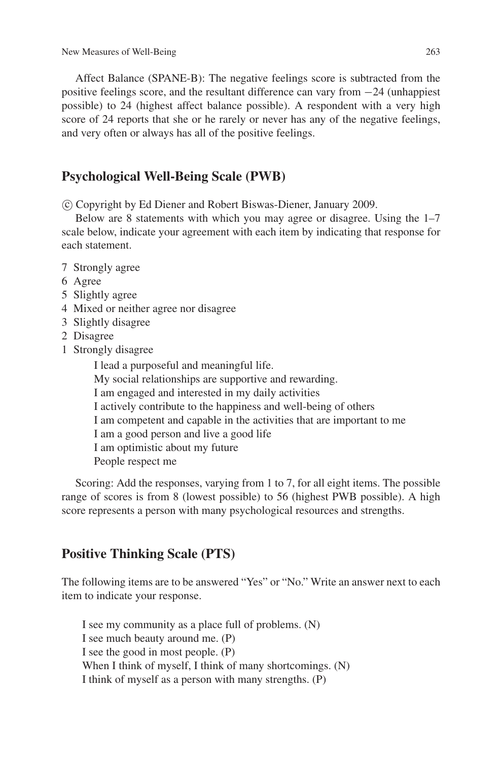Affect Balance (SPANE-B): The negative feelings score is subtracted from the positive feelings score, and the resultant difference can vary from −24 (unhappiest possible) to 24 (highest affect balance possible). A respondent with a very high score of 24 reports that she or he rarely or never has any of the negative feelings, and very often or always has all of the positive feelings.

# **Psychological Well-Being Scale (PWB)**

© Copyright by Ed Diener and Robert Biswas-Diener, January 2009.

Below are 8 statements with which you may agree or disagree. Using the 1–7 scale below, indicate your agreement with each item by indicating that response for each statement.

- 7 Strongly agree
- 6 Agree
- 5 Slightly agree
- 4 Mixed or neither agree nor disagree
- 3 Slightly disagree
- 2 Disagree
- 1 Strongly disagree

I lead a purposeful and meaningful life.

My social relationships are supportive and rewarding.

- I am engaged and interested in my daily activities
- I actively contribute to the happiness and well-being of others
- I am competent and capable in the activities that are important to me
- I am a good person and live a good life

I am optimistic about my future

People respect me

Scoring: Add the responses, varying from 1 to 7, for all eight items. The possible range of scores is from 8 (lowest possible) to 56 (highest PWB possible). A high score represents a person with many psychological resources and strengths.

# **Positive Thinking Scale (PTS)**

The following items are to be answered "Yes" or "No." Write an answer next to each item to indicate your response.

I see my community as a place full of problems. (N) I see much beauty around me. (P) I see the good in most people. (P) When I think of myself, I think of many shortcomings. (N) I think of myself as a person with many strengths. (P)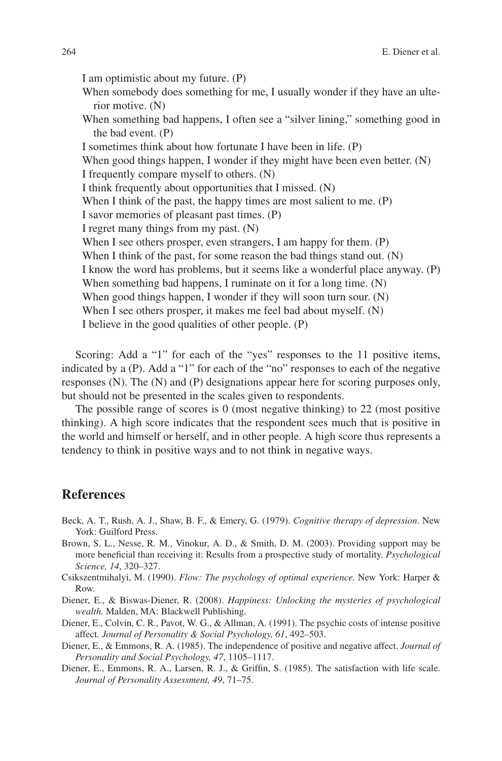I am optimistic about my future. (P) When somebody does something for me, I usually wonder if they have an ulterior motive. (N) When something bad happens, I often see a "silver lining," something good in the bad event. (P) I sometimes think about how fortunate I have been in life. (P) When good things happen, I wonder if they might have been even better. (N) I frequently compare myself to others. (N) I think frequently about opportunities that I missed. (N) When I think of the past, the happy times are most salient to me. (P) I savor memories of pleasant past times. (P) I regret many things from my past. (N) When I see others prosper, even strangers, I am happy for them. (P) When I think of the past, for some reason the bad things stand out. (N) I know the word has problems, but it seems like a wonderful place anyway. (P) When something bad happens, I ruminate on it for a long time. (N) When good things happen, I wonder if they will soon turn sour. (N) When I see others prosper, it makes me feel bad about myself. (N) I believe in the good qualities of other people. (P)

Scoring: Add a "1" for each of the "yes" responses to the 11 positive items, indicated by a (P). Add a "1" for each of the "no" responses to each of the negative responses (N). The (N) and (P) designations appear here for scoring purposes only, but should not be presented in the scales given to respondents.

The possible range of scores is 0 (most negative thinking) to 22 (most positive thinking). A high score indicates that the respondent sees much that is positive in the world and himself or herself, and in other people. A high score thus represents a tendency to think in positive ways and to not think in negative ways.

# **References**

- Beck, A. T., Rush, A. J., Shaw, B. F., & Emery, G. (1979). *Cognitive therapy of depression*. New York: Guilford Press.
- Brown, S. L., Nesse, R. M., Vinokur, A. D., & Smith, D. M. (2003). Providing support may be more beneficial than receiving it: Results from a prospective study of mortality. *Psychological Science, 14*, 320–327.
- Csikszentmihalyi, M. (1990). *Flow: The psychology of optimal experience.* New York: Harper & Row.
- Diener, E., & Biswas-Diener, R. (2008). *Happiness: Unlocking the mysteries of psychological wealth.* Malden, MA: Blackwell Publishing.
- Diener, E., Colvin, C. R., Pavot, W. G., & Allman, A. (1991). The psychic costs of intense positive affect. *Journal of Personality & Social Psychology, 61*, 492–503.
- Diener, E., & Emmons, R. A. (1985). The independence of positive and negative affect. *Journal of Personality and Social Psychology, 47*, 1105–1117.
- Diener, E., Emmons, R. A., Larsen, R. J., & Griffin, S. (1985). The satisfaction with life scale. *Journal of Personality Assessment, 49*, 71–75.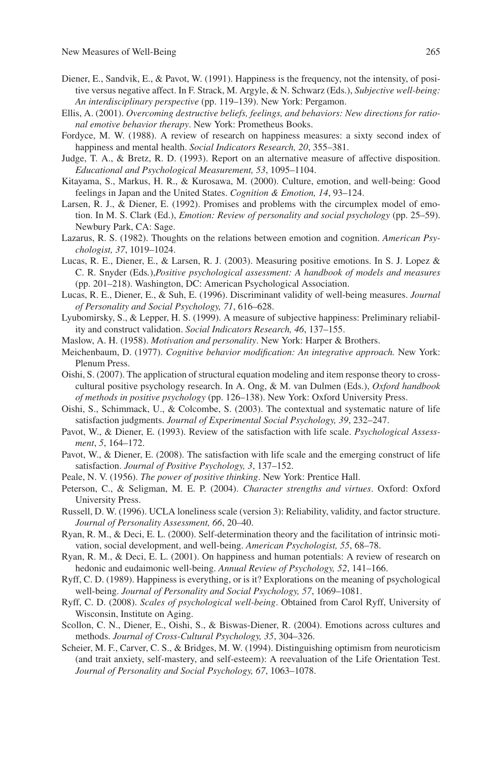- Diener, E., Sandvik, E., & Pavot, W. (1991). Happiness is the frequency, not the intensity, of positive versus negative affect. In F. Strack, M. Argyle, & N. Schwarz (Eds.), *Subjective well-being: An interdisciplinary perspective* (pp. 119–139). New York: Pergamon.
- Ellis, A. (2001). *Overcoming destructive beliefs, feelings, and behaviors: New directions for rational emotive behavior therapy*. New York: Prometheus Books.
- Fordyce, M. W. (1988). A review of research on happiness measures: a sixty second index of happiness and mental health. *Social Indicators Research, 20*, 355–381.
- Judge, T. A., & Bretz, R. D. (1993). Report on an alternative measure of affective disposition. *Educational and Psychological Measurement, 53*, 1095–1104.
- Kitayama, S., Markus, H. R., & Kurosawa, M. (2000). Culture, emotion, and well-being: Good feelings in Japan and the United States. *Cognition & Emotion, 14*, 93–124.
- Larsen, R. J., & Diener, E. (1992). Promises and problems with the circumplex model of emotion. In M. S. Clark (Ed.), *Emotion: Review of personality and social psychology* (pp. 25–59). Newbury Park, CA: Sage.
- Lazarus, R. S. (1982). Thoughts on the relations between emotion and cognition. *American Psychologist, 37*, 1019–1024.
- Lucas, R. E., Diener, E., & Larsen, R. J. (2003). Measuring positive emotions. In S. J. Lopez & C. R. Snyder (Eds*.*),*Positive psychological assessment: A handbook of models and measures* (pp. 201–218). Washington, DC: American Psychological Association.
- Lucas, R. E., Diener, E., & Suh, E. (1996). Discriminant validity of well-being measures. *Journal of Personality and Social Psychology, 71*, 616–628.
- Lyubomirsky, S., & Lepper, H. S. (1999). A measure of subjective happiness: Preliminary reliability and construct validation. *Social Indicators Research, 46*, 137–155.
- Maslow, A. H. (1958). *Motivation and personality*. New York: Harper & Brothers.
- Meichenbaum, D. (1977). *Cognitive behavior modification: An integrative approach.* New York: Plenum Press.
- Oishi, S. (2007). The application of structural equation modeling and item response theory to crosscultural positive psychology research. In A. Ong, & M. van Dulmen (Eds.), *Oxford handbook of methods in positive psychology* (pp. 126–138). New York: Oxford University Press.
- Oishi, S., Schimmack, U., & Colcombe, S. (2003). The contextual and systematic nature of life satisfaction judgments. *Journal of Experimental Social Psychology, 39*, 232–247.
- Pavot, W., & Diener, E. (1993). Review of the satisfaction with life scale. *Psychological Assessment*, *5*, 164–172.
- Pavot, W., & Diener, E. (2008). The satisfaction with life scale and the emerging construct of life satisfaction. *Journal of Positive Psychology, 3*, 137–152.
- Peale, N. V. (1956). *The power of positive thinking*. New York: Prentice Hall.
- Peterson, C., & Seligman, M. E. P. (2004). *Character strengths and virtues*. Oxford: Oxford University Press.
- Russell, D. W. (1996). UCLA loneliness scale (version 3): Reliability, validity, and factor structure. *Journal of Personality Assessment, 66*, 20–40.
- Ryan, R. M., & Deci, E. L. (2000). Self-determination theory and the facilitation of intrinsic motivation, social development, and well-being. *American Psychologist, 55*, 68–78.
- Ryan, R. M., & Deci, E. L. (2001). On happiness and human potentials: A review of research on hedonic and eudaimonic well-being. *Annual Review of Psychology, 52*, 141–166.
- Ryff, C. D. (1989). Happiness is everything, or is it? Explorations on the meaning of psychological well-being. *Journal of Personality and Social Psychology, 57*, 1069–1081.
- Ryff, C. D. (2008). *Scales of psychological well-being*. Obtained from Carol Ryff, University of Wisconsin, Institute on Aging.
- Scollon, C. N., Diener, E., Oishi, S., & Biswas-Diener, R. (2004). Emotions across cultures and methods. *Journal of Cross-Cultural Psychology, 35*, 304–326.
- Scheier, M. F., Carver, C. S., & Bridges, M. W. (1994). Distinguishing optimism from neuroticism (and trait anxiety, self-mastery, and self-esteem): A reevaluation of the Life Orientation Test. *Journal of Personality and Social Psychology, 67*, 1063–1078.